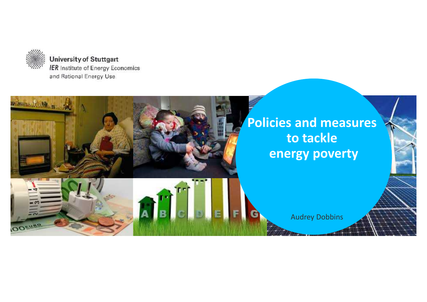

**University of Stuttgart** IER Institute of Energy Economics and Rational Energy Use

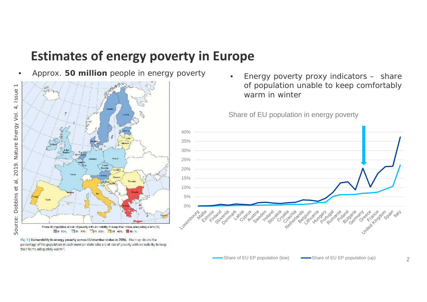## **Estimates of energy poverty in Europe**

• Approx. **50 million** people in energy poverty



Fig. 1) Vulnerability to energy poverty across EU member states in 2016. The map shows the percentage of the population in each member state who are at risk of poverty with an inability to keep their home adequately warm."

• Energy poverty proxy indicators – share of population unable to keep comfortably warm in winter

Share of EU population in energy poverty



2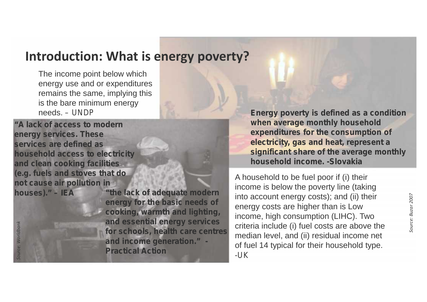#### **Introduction: What is energy poverty?**

The income point below which energy use and or expenditures remains the same, implying this is the bare minimum energy

**"A lack of access to modern energy services. These services are defined as household access to electricity and clean cooking facilities (e.g. fuels and stoves that do not cause air pollution in**

**houses)."** *– IEA* **"the lack of adequate modern energy for the basic needs of cooking, warmth and lighting, and essential energy services for schools, health care centres and income generation."** *- Practical Action*

needs. – *UNDP* **Energy poverty is defined as a condition when average monthly household expenditures for the consumption of electricity, gas and heat, represent a significant share of the average monthly household income.** *-Slovakia*

A household to be fuel poor if (i) their income is below the poverty line (taking into account energy costs); and (ii) their energy costs are higher than is Low income, high consumption (LIHC). Two into account energy costs); and (ii) their<br>energy costs are higher than is Low<br>income, high consumption (LIHC). Two<br>criteria include (i) fuel costs are above the median level, and (ii) residual income net of fuel 14 typical for their household type. **Example 12.4**<br> **Example 12.4**<br> **Example 12.4**<br> **Example 12.4**<br> **Example 12.4**<br> **Example 12.4**<br> **Example 12.4**<br> **Example 12.4**<br> **Example 12.4**<br> **Example 12.4**<br> **Example 12.4**<br> **Example 12.4**<br> **Example 12.4**<br> **Example 12.4**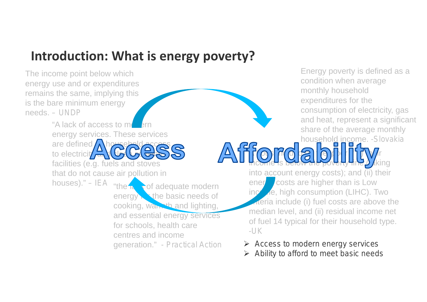## **Introduction: What is energy poverty?**

The income point below which energy use and or expenditures remains the same, implying this is the bare minimum energy needs. *– UNDP*

> "A lack of access to m energy services. These services are defined to electricit**y** facilities (e.g. fuels and stoves that do not cause air pollution in houses)." – *IEA* "the **lack of adequate modern** ener energy  $\blacktriangleright$  the basic needs of cooking, warmth and lighting, and essential energy services for schools, health care centres and income generation." *- Practical Action*

Energy poverty is defined as a condition when average monthly household expenditures for the consumption of electricity, gas and heat, represent a significant share of the average monthly household income. *-Slovakia*  $\Gamma$  (o)  $\Gamma$  (o)  $\approx$   $\Gamma$  (e) the function  $\Gamma$ 

income is below the poverty fine  $\int$  (king into account energy costs); and  $(iii)$  their  $\blacksquare$  costs are higher than is Low **income, high consumption (LIHC). Two**  $\blacksquare$  ateria include (i) fuel costs are above the median level, and (ii) residual income net of fuel 14 typical for their household type. *-UK*

- *Access to modern energy services*
- 4 *Ability to afford to meet basic needs*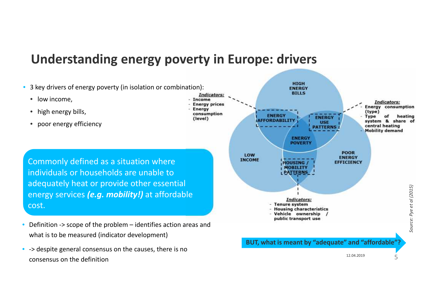#### **Understanding energy poverty in Europe: drivers**

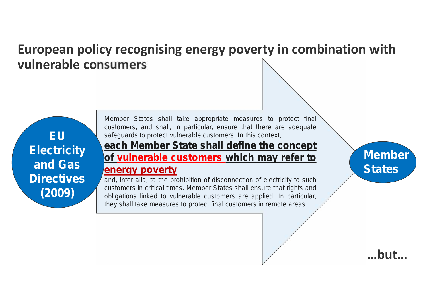### **European policy recognising energy poverty in combination with vulnerable consumers**

Directives **EU Electricity and Gas Directives (2009)**

Gas and

**Member** States shall take appropriate measures to protect final *customers, and shall, in particular, ensure that there are adequate safeguards to protect vulnerable customers. In this context,*

#### *each Member State shall define the concept of vulnerable customers which may refer to*

#### *energy poverty*

*and, inter alia, to the prohibition of disconnection of electricity to such customers in critical times. Member States shall ensure that rights and obligations linked to vulnerable customers are applied. In particular, they shall take measures to protect final customers in remote areas.*

**Member States**

**…but…**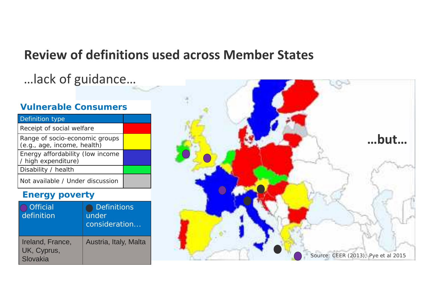#### **Review of definitions used across Member States**

## ... lack of guidance...

#### **Vulnerable Consumers**

| Definition type                                               |  |
|---------------------------------------------------------------|--|
| Receipt of social welfare                                     |  |
| Range of socio-economic groups<br>(e.g., age, income, health) |  |
| Energy affordability (low income<br>/ high expenditure)       |  |
| Disability / health                                           |  |
| Not available / Under discussion                              |  |

#### **Energy poverty**

| Official<br>definition                      | Definitions<br>under<br>consideration |  |
|---------------------------------------------|---------------------------------------|--|
| Ireland, France,<br>UK, Cyprus,<br>Slovakia | Austria, Italy, Malta                 |  |

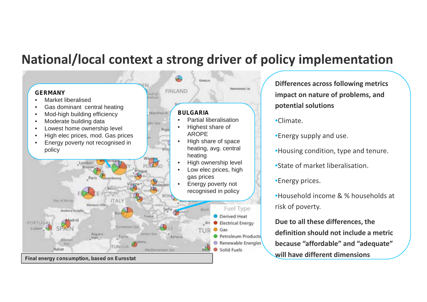#### **National/local context a strong driver of policy implementation**



**Differences across following metrics impact on nature of problems, and potential solutions**

#### •Climate.

- •Energy supply and use.
- •Housing condition, type and tenure.
- •State of market liberalisation.
- •Energy prices.
- •Household income & % households at risk of poverty.

**Due to all these differences, the definition should not include a metric because "affordable" and "adequate" will have different dimensions**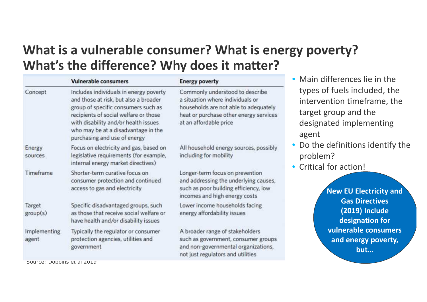## **What is a vulnerable consumer? What is energy poverty? What's the difference? Why does it matter?**

|                              | <b>Vulnerable consumers</b>                                                                                                                                                                                                                                                    | <b>Energy poverty</b>                                                                                                                                                            | • Main differences lie in the                                                                                                                                   |
|------------------------------|--------------------------------------------------------------------------------------------------------------------------------------------------------------------------------------------------------------------------------------------------------------------------------|----------------------------------------------------------------------------------------------------------------------------------------------------------------------------------|-----------------------------------------------------------------------------------------------------------------------------------------------------------------|
| Concept                      | Includes individuals in energy poverty<br>and those at risk, but also a broader<br>group of specific consumers such as<br>recipients of social welfare or those<br>with disability and/or health issues<br>who may be at a disadvantage in the<br>purchasing and use of energy | Commonly understood to describe<br>a situation where individuals or<br>households are not able to adequately<br>heat or purchase other energy services<br>at an affordable price | types of fuels included, the<br>intervention timeframe, the<br>target group and the<br>designated implementing<br>agent                                         |
| Energy<br>sources            | Focus on electricity and gas, based on<br>legislative requirements (for example,<br>internal energy market directives)                                                                                                                                                         | All household energy sources, possibly<br>including for mobility                                                                                                                 | • Do the definitions identify the<br>problem?<br>• Critical for action!<br>New EU Electricity and<br><b>Gas Directives</b><br>(2019) Include<br>designation for |
| Timeframe                    | Shorter-term curative focus on<br>consumer protection and continued<br>access to gas and electricity                                                                                                                                                                           | Longer-term focus on prevention<br>and addressing the underlying causes,<br>such as poor building efficiency, low<br>incomes and high energy costs                               |                                                                                                                                                                 |
| Target<br>group(s)           | Specific disadvantaged groups, such<br>as those that receive social welfare or<br>have health and/or disability issues                                                                                                                                                         | Lower income households facing<br>energy affordability issues                                                                                                                    |                                                                                                                                                                 |
| <b>Implementing</b><br>agent | Typically the regulator or consumer<br>protection agencies, utilities and<br>government                                                                                                                                                                                        | A broader range of stakeholders<br>such as government, consumer groups<br>and non-governmental organizations,<br>not just regulators and utilities                               | vulnerable consumers<br>and energy poverty,<br>but                                                                                                              |

*Source: Dobbins et al 2019*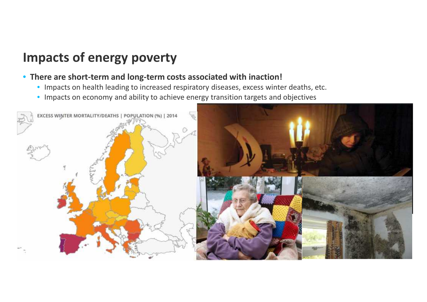## **Impacts of energy poverty**

#### • **There are short-term and long-term costs associated with inaction!**

- Impacts on health leading to increased respiratory diseases, excess winter deaths, etc.
- Impacts on economy and ability to achieve energy transition targets and objectives

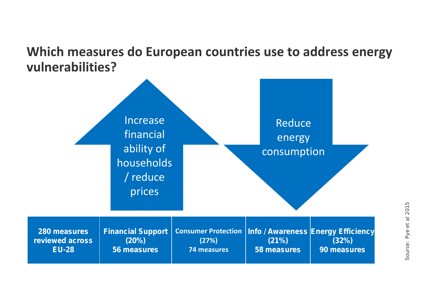### **Which measures do European countries use to address energy vulnerabilities?**

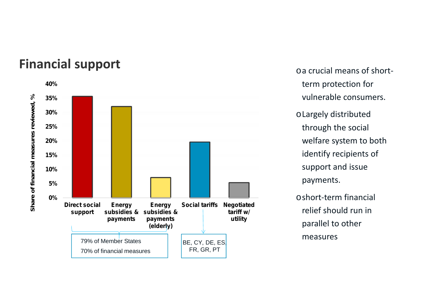# **Financial support** of the state of short-



term protection for vulnerable consumers.

oLargely distributed through the social welfare system to both identify recipients of support and issue payments.

oshort-term financial relief should run in parallel to other measures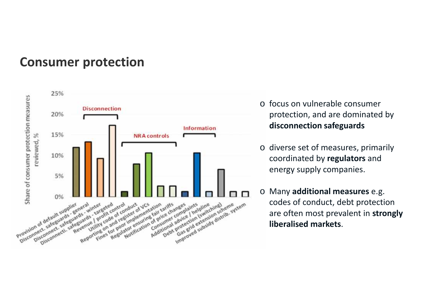#### **Consumer protection**



- o focus on vulnerable consumer protection, and are dominated by **disconnection safeguards**
- o diverse set of measures, primarily coordinated by **regulators** and energy supply companies.
- o Many **additional measures** e.g. codes of conduct, debt protection are often most prevalent in **strongly liberalised markets**.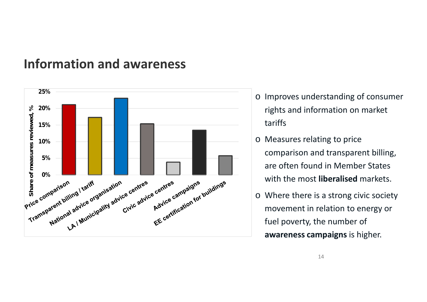#### **Information and awareness**



- o Improves understanding of consumer rights and information on market tariffs
- o Measures relating to price comparison and transparent billing, are often found in Member States with the most **liberalised** markets.
- o Where there is a strong civic society movement in relation to energy or fuel poverty, the number of **awareness campaigns** is higher.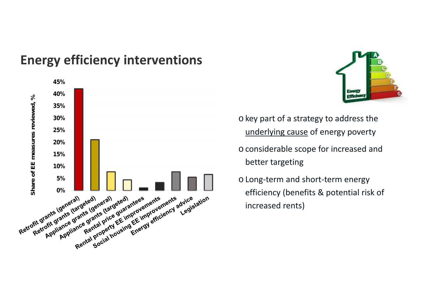## **Energy efficiency interventions**





- o key part of a strategy to address the underlying cause of energy poverty
- o considerable scope for increased and better targeting
- o Long-term and short-term energy efficiency (benefits & potential risk of increased rents)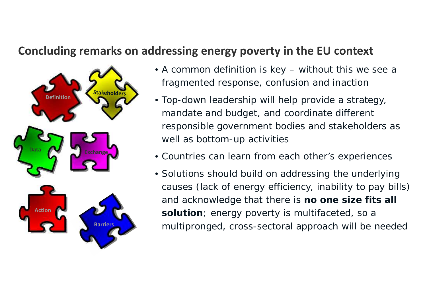#### **Concluding remarks on addressing energy poverty in the EU context**



- A common definition is key without this we see a fragmented response, confusion and inaction
- Top-down leadership will help provide a strategy, mandate and budget, and coordinate different responsible government bodies and stakeholders as well as bottom-up activities
- Countries can learn from each other's experiences
- Solutions should build on addressing the underlying causes (lack of energy efficiency, inability to pay bills) and acknowledge that there is **no one size fits all solution**; energy poverty is multifaceted, so a multipronged, cross-sectoral approach will be needed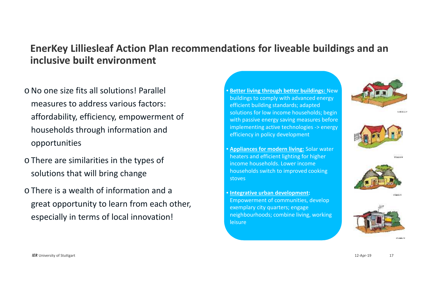#### **EnerKey Lilliesleaf Action Plan recommendations for liveable buildings and an inclusive built environment**

- oNo one size fits all solutions! Parallel measures to address various factors: affordability, efficiency, empowerment of households through information and opportunities
- o There are similarities in the types of solutions that will bring change
- o There is a wealth of information and a great opportunity to learn from each other, especially in terms of local innovation!
- **Better living through better buildings:** New buildings to comply with advanced energy efficient building standards; adapted solutions for low income households; begin with passive energy saving measures before implementing active technologies -> energy efficiency in policy development
- **Appliances for modern living:** Solar water heaters and efficient lighting for higher income households. Lower income households switch to improved cooking stoves
- **Integrative urban development:** Empowerment of communities, develop exemplary city quarters; engage neighbourhoods; combine living, working leisure









**District Co.**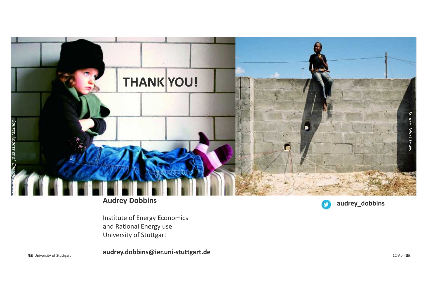

#### **Audrey Dobbins**

Institute of Energy Economics and Rational Energy use University of Stuttgart

*IER* University of Stuttgart **12-Apr-198 audrey.dobbins@ier.uni-stuttgart.de**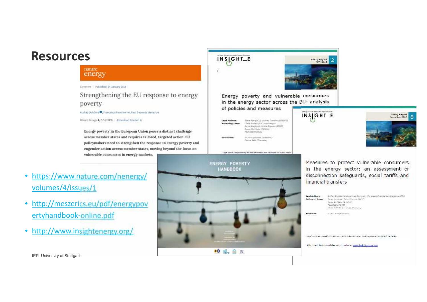#### **Resources**

#### **nature** energy

Commerc | Published: 14 January 2019

Strengthening the EU response to energy poverty

Audrey Dobbins ( Francesco Fuso freshi, Paul Deane & Steve Pve

Moture Energy 4, 2-5 (201% Download Otation &

Energy poverty in the European Union poses a distinct challenge across member states and requires tailored, targeted action. EU policymakers need to strengthen the response to energy poverty and engender action across member states, moving beyond the focus on vulnerable consumers in energy markets.

- https://www.nature.com/nenergy/ volumes/4/issues/1
- http://meszerics.eu/pdf/energypov ertyhandbook-online.pdf
- http://www.insightenergy.org/





Energy poverty and vulnerable consumers in the energy sector across the EU: analysis of policies and measures

Sime Rev (MSS, Justine Dataire (USTUFF) Claire Bathet (RDC Innethergy)<br>Junck Hoolingh, Junck Groupe (EDN) Form the Heale (Publicia) Paul Deavie (1922)

Lang notice: Associated the the references and value ask and in this control

December 1, Audit Armsen, Officer Andrew Carrier Sale (Wrangela)



 $INS[GHT_E$ 



Measures to protect vulnerable consumers In the energy sector: an assessment of disconnection safequards, social tariffs and financial transfers

| Lead Authors:<br>Authority Insure | Reshaw Docklins (Withwastle of Stringard), Francisco Punc Naths, Stare Pre (VCL)<br>Arrest Automak, Telephone DNNY<br>Nexus De Style, Selantico<br>Pask Ceana / UCC1<br>Holoch mail "Bankertory of Makingary".<br>제 화장에 이용 아이들이 있는 이 아이가 이 친 사람을 보내는 것이 없다. |
|-----------------------------------|-------------------------------------------------------------------------------------------------------------------------------------------------------------------------------------------------------------------------------------------------------------|
| Bank house help                   | Cultural distances and cul-<br>IN WAS A TRANSPORTED.                                                                                                                                                                                                        |

toget action. We providely the the information and access correct and he report to commit action the inclusive

this report is also analiable on our website: www.insightenetax.org

**IER University of Stuttgart** 12.04.2019 19.04.2019 19.04.2019 19.04.2019 19.04.2019 19.04.2019 19.04.2019 19.04.2019 19.04.2019 19.04.2019 19.04.2019 19.04.2019 19.04.2019 19.04.2019 19.04.2019 19.04.2019 19.04.2019 19.04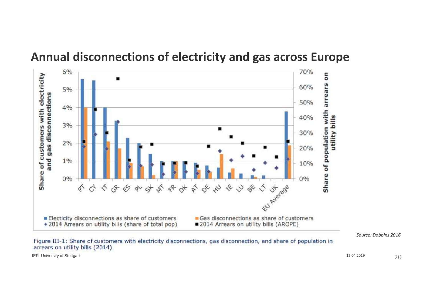

#### **Annual disconnections of electricity and gas across Europe**

*Source: Dobbins 2016*

Figure III-1: Share of customers with electricity disconnections, gas disconnection, and share of population in arrears on utility bills (2014)

IER University of Stuttgart 2008 2009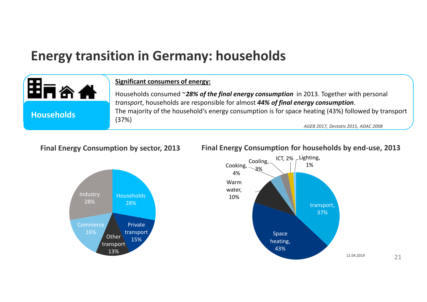## **Energy transition in Germany: households**